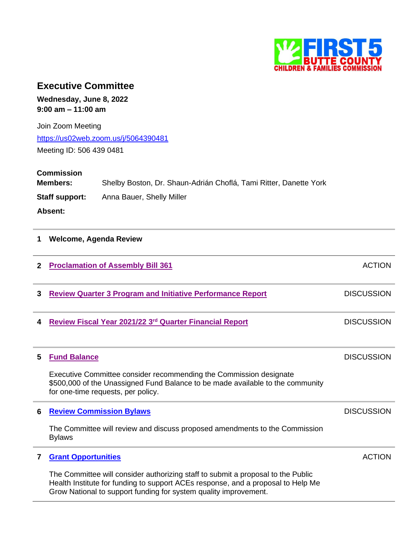

# **Executive Committee**

**Wednesday, June 8, 2022 9:00 am – 11:00 am**

Join Zoom Meeting <https://us02web.zoom.us/j/5064390481> Meeting ID: 506 439 0481

**Commission Members:** Shelby Boston, Dr. Shaun-Adrián Choflá, Tami Ritter, Danette York **Staff support:** Anna Bauer, Shelly Miller **Absent:**

## **1 Welcome, Agenda Review**

| $\mathbf{2}$ | <b>Proclamation of Assembly Bill 361</b>                                                                                                                                                                                                 | <b>ACTION</b>     |
|--------------|------------------------------------------------------------------------------------------------------------------------------------------------------------------------------------------------------------------------------------------|-------------------|
| 3            | <b>Review Quarter 3 Program and Initiative Performance Report</b>                                                                                                                                                                        | <b>DISCUSSION</b> |
| 4            | Review Fiscal Year 2021/22 3rd Quarter Financial Report                                                                                                                                                                                  | <b>DISCUSSION</b> |
| 5            | <b>Fund Balance</b>                                                                                                                                                                                                                      | <b>DISCUSSION</b> |
|              | Executive Committee consider recommending the Commission designate<br>\$500,000 of the Unassigned Fund Balance to be made available to the community<br>for one-time requests, per policy.                                               |                   |
| 6            | <b>Review Commission Bylaws</b>                                                                                                                                                                                                          | <b>DISCUSSION</b> |
|              | The Committee will review and discuss proposed amendments to the Commission<br><b>Bylaws</b>                                                                                                                                             |                   |
| 7            | <b>Grant Opportunities</b>                                                                                                                                                                                                               | <b>ACTION</b>     |
|              | The Committee will consider authorizing staff to submit a proposal to the Public<br>Health Institute for funding to support ACEs response, and a proposal to Help Me<br>Grow National to support funding for system quality improvement. |                   |